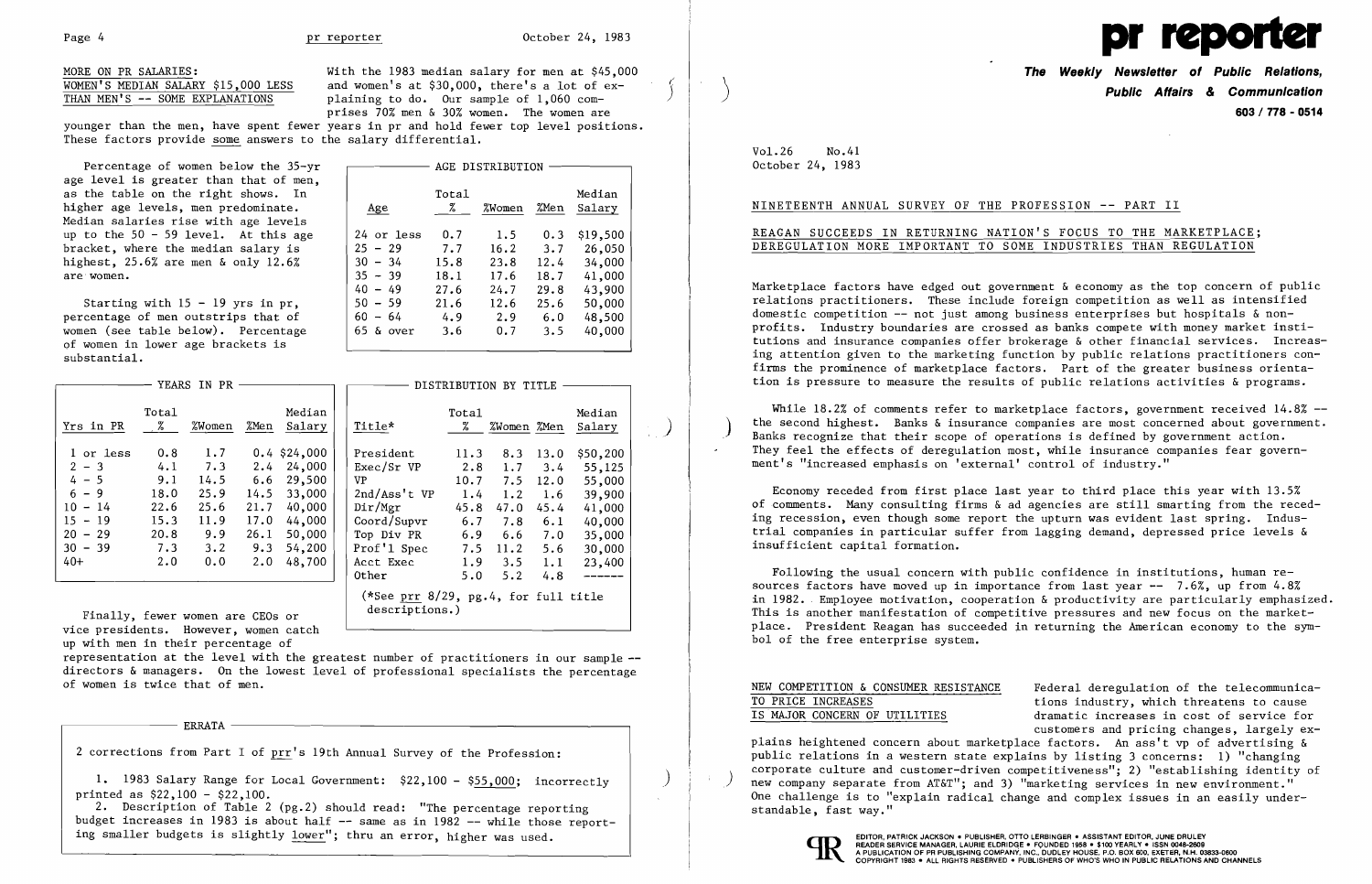MORE ON PR SALARIES:<br>With the 1983 median salary for men at \$45,000<br>WOMEN'S MEDIAN SALARY \$15.000 LESS and women's at \$30.000, there's a lot of ex-WOMEN'S MEDIAN SALARY \$15,000 LESS and women's at \$30,000, there's a lot of ex-<br>THAN MEN'S -- SOME EXPLANATIONS plaining to do. Our sample of 1,060 complaining to do. Our sample of 1,060 comprises 70% men & 30% women. The women are younger than the men, have spent fewer years in pr and hold fewer top level positions.

These factors provide some answers to the salary differential.

Starting with  $15 - 19$  yrs in pr,  $\begin{array}{|l|} \hline \end{array}$  50<br>centage of men outstrips that of  $\begin{array}{|l|} \hline \end{array}$ percentage of men outstrips that of  $\begin{array}{|l|l|} \hline 60 \\ \hline 65 \end{array}$  65 women (see table below). Percentage of women in lower age brackets is substantial.

| Percentage of women below the 35-yr    |             |                 | AGE DISTRIBUTION |      |          |
|----------------------------------------|-------------|-----------------|------------------|------|----------|
| age level is greater than that of men, |             |                 |                  |      |          |
| as the table on the right shows. In    |             | Total           |                  |      | Median   |
| higher age levels, men predominate.    | Age         | $\frac{\%}{\%}$ | %Women           | %Men | Salary   |
| Median salaries rise with age levels   |             |                 |                  |      |          |
| up to the $50 - 59$ level. At this age | 24 or less  | 0.7             | 1.5              | 0.3  | \$19,500 |
| bracket, where the median salary is    | $25 - 29$   | 7.7             | 16.2             | 3.7  | 26,050   |
| highest, 25.6% are men & only 12.6%    | $30 - 34$   | 15.8            | 23.8             | 12.4 | 34,000   |
| are women.                             | $35 - 39$   | 18.1            | 17.6             | 18.7 | 41,000   |
|                                        | $40 - 49$   | 27.6            | 24.7             | 29.8 | 43,900   |
| Starting with $15 - 19$ yrs in pr,     | $50 - 59$   | 21.6            | 12.6             | 25.6 | 50,000   |
| percentage of men outstrips that of    | $60 - 64$   | 4.9             | 2.9              | 6.0  | 48,500   |
| women (see table below). Percentage    | $65$ & over | 3.6             | 0.7              | 3.5  | 40,000   |

| — YEARS IN PR<br>DISTRIBUTION BY TITLE                                               |                                                                 |                                                          |                                                                                                |  |                                                                                                                             |                                                                       |                                                                      |                                                                       |                                                                                          |  |
|--------------------------------------------------------------------------------------|-----------------------------------------------------------------|----------------------------------------------------------|------------------------------------------------------------------------------------------------|--|-----------------------------------------------------------------------------------------------------------------------------|-----------------------------------------------------------------------|----------------------------------------------------------------------|-----------------------------------------------------------------------|------------------------------------------------------------------------------------------|--|
| Tota1<br>%                                                                           | %Women                                                          | %Men                                                     | Median<br>Salary                                                                               |  | Title*                                                                                                                      | Total<br>Z.                                                           | %Women %Men                                                          |                                                                       | Median<br>Salary                                                                         |  |
| 0.8<br>4.1<br>9.1<br>18.0<br>22.6<br>15.3<br>20.8<br>7.3<br>2.0                      | 1.7<br>7.3<br>14.5<br>25.9<br>25.6<br>11.9<br>9.9<br>3.2<br>0.0 | 2.4<br>6.6<br>14.5<br>21.7<br>17.0<br>26.1<br>9.3<br>2.0 | $0.4$ \$24,000<br>24,000<br>29,500<br>33,000<br>40,000<br>44,000<br>50,000<br>54,200<br>48,700 |  | President<br>Exec/Sr VP<br>VP.<br>2nd/Ass't VP<br>Dir/Mgr<br>Coord/Supvr<br>Top Div PR<br>Prof'1 Spec<br>Acct Exec<br>Other | 11.3<br>2.8<br>10.7<br>1.4<br>45.8<br>6.7<br>6.9<br>7.5<br>1.9<br>5.0 | 8.3<br>1.7<br>7.5<br>1.2<br>47.0<br>7.8<br>6.6<br>11.2<br>3.5<br>5.2 | 13.0<br>3.4<br>12.0<br>1.6<br>45.4<br>6.1<br>7.0<br>5.6<br>1.1<br>4.8 | \$50,200<br>55,125<br>55,000<br>39,900<br>41,000<br>40,000<br>35,000<br>30,000<br>23,400 |  |
| (*See prr $8/29$ , pg.4, for full title<br>descriptions.)<br>fewer women are CEOs or |                                                                 |                                                          |                                                                                                |  |                                                                                                                             |                                                                       |                                                                      |                                                                       |                                                                                          |  |

Finally, fewer women are CEOs or vice presidents. However, women catch up with men in their percentage of

2. Description of Table 2 (pg.2) should read: "The percentage reporting budget increases in 1983 is about half  $-$  same as in 1982  $-$  while those reporting smaller budgets is slightly lower"; thru an error, higher was used.

| YEAKS IN FK                                                                                                |                                                                 |                                                                 |                                                          |                                                                                                |                                                                                                                             |                                                                       | DISTRIBUTION BY TITLE                                                |                                                                       |                                                                                                    |
|------------------------------------------------------------------------------------------------------------|-----------------------------------------------------------------|-----------------------------------------------------------------|----------------------------------------------------------|------------------------------------------------------------------------------------------------|-----------------------------------------------------------------------------------------------------------------------------|-----------------------------------------------------------------------|----------------------------------------------------------------------|-----------------------------------------------------------------------|----------------------------------------------------------------------------------------------------|
| Yrs in PR                                                                                                  | Total<br>$\mathbb{Z}$                                           | %Women                                                          | %Men                                                     | Median<br>Salary                                                                               | Title*                                                                                                                      | Tota1<br>Z.                                                           | %Women %Men                                                          |                                                                       | Median<br>Salary                                                                                   |
| 1 or less<br>$2 - 3$<br>$4 - 5$<br>$6 - 9$<br>$10 - 14$<br>15.<br>$-19$<br>$20 - 29$<br>$30 - 39$<br>$40+$ | 0.8<br>4.1<br>9.1<br>18.0<br>22.6<br>15.3<br>20.8<br>7.3<br>2.0 | 1.7<br>7.3<br>14.5<br>25.9<br>25.6<br>11.9<br>9.9<br>3.2<br>0.0 | 2.4<br>6.6<br>14.5<br>21.7<br>17.0<br>26.1<br>9.3<br>2.0 | $0.4$ \$24,000<br>24,000<br>29,500<br>33,000<br>40,000<br>44,000<br>50,000<br>54,200<br>48,700 | President<br>Exec/Sr VP<br>VP.<br>2nd/Ass't VP<br>Dir/Mgr<br>Coord/Supvr<br>Top Div PR<br>Prof'1 Spec<br>Acct Exec<br>Other | 11.3<br>2.8<br>10.7<br>1.4<br>45.8<br>6.7<br>6.9<br>7.5<br>1.9<br>5.0 | 8.3<br>1.7<br>7.5<br>1.2<br>47.0<br>7.8<br>6.6<br>11.2<br>3.5<br>5.2 | 13.0<br>3.4<br>12.0<br>1.6<br>45.4<br>6.1<br>7.0<br>5.6<br>1.1<br>4.8 | \$50,200<br>55,125<br>55,000<br>39,900<br>41,000<br>40,000<br>35,000<br>30,000<br>23,400<br>------ |

representation at the level with the greatest number of practitioners in our sample directors & managers. On the lowest level of professional specialists the percentage of women is twice that of men.

ERRATA ------------------------

2 corrections from Part I of prr's 19th Annual Survey of the Profession:

1. 1983 Salary Range for Local Government: \$22,100 - \$55,000; incorrectly printed as \$22,100 - \$22,100.



**The Weekly Newsletter of Public Relations, Public Affairs & Communication 603 / 778 - 0514** 

NEW COMPETITION & CONSUMER RESISTANCE Federal deregulation of the telecommunica-<br>TO PRICE INCREASES tions industry, which threatens to cause TO PRICE INCREASES<br>
TS MAJOR CONCERN OF UTILITIES<br>
tions industry, which threatens to cause<br>
dramatic increases in cost of service for dramatic increases in cost of service for customers and pricing changes, largely explains heightened concern about marketplace factors. An ass't vp of advertising & public relations in a western state explains by listing 3 concerns: 1) "changing corporate culture and customer-driven competitiveness"; 2) "establishing identity of (i) new company separate from AT&T"; and 3) "marketing services in new environment." new company separate from AT&T"; and 3) "marketing services in new environment."<br>One challenge is to "explain radical change and complex issues in an easily understandable, fast way."



## Vol. 26 No.41 October 24, 1983

### NINETEENTH ANNUAL SURVEY OF THE PROFESSION -- PART II

# REAGAN SUCCEEDS IN RETURNING NATION'S FOCUS TO THE MARKETPLACE; DEREGULATION MORE IMPORTANT TO SOME INDUSTRIES THAN REGULATION

Marketplace factors have edged out government & economy as the top concern of public relations practitioners. These include foreign competition as well as intensified domestic competition -- not just among business enterprises but hospitals & nonprofits. Industry boundaries are crossed as banks compete with money market institutions and insurance companies offer brokerage & other financial services. Increasing attention given to the marketing function by public relations practitioners confirms the prominence of marketplace factors. Part of the greater business orientation is pressure to measure the results of public relations activities & programs.

While 18.2% of comments refer to marketplace factors, government received 14.8% -the second highest. Banks & insurance companies are most concerned about government.<br>Banks recognize that their scope of operations is defined by government action.<br>They feel the effects of deregulation most, while insuran ment's "increased emphasis on 'external' control of industry."

Economy receded from first place last year to third place this year with 13.5% of comments. Many consulting firms & ad agencies are still smarting from the receding recession, even though some report the upturn was evident last spring. Industrial companies in particular suffer from lagging demand, depressed price levels & insufficient capital formation.

Following the usual concern with public confidence in institutions, human resources factors have moved up in importance from last year  $-- 7.6\%$ , up from  $4.8\%$ in 1982. Employee motivation, cooperation & productivity are particularly emphasized. This is another manifestation of competitive pressures and new focus on the marketplace. President Reagan has succeeded in returning the American economy to the symbol of the free enterprise system.